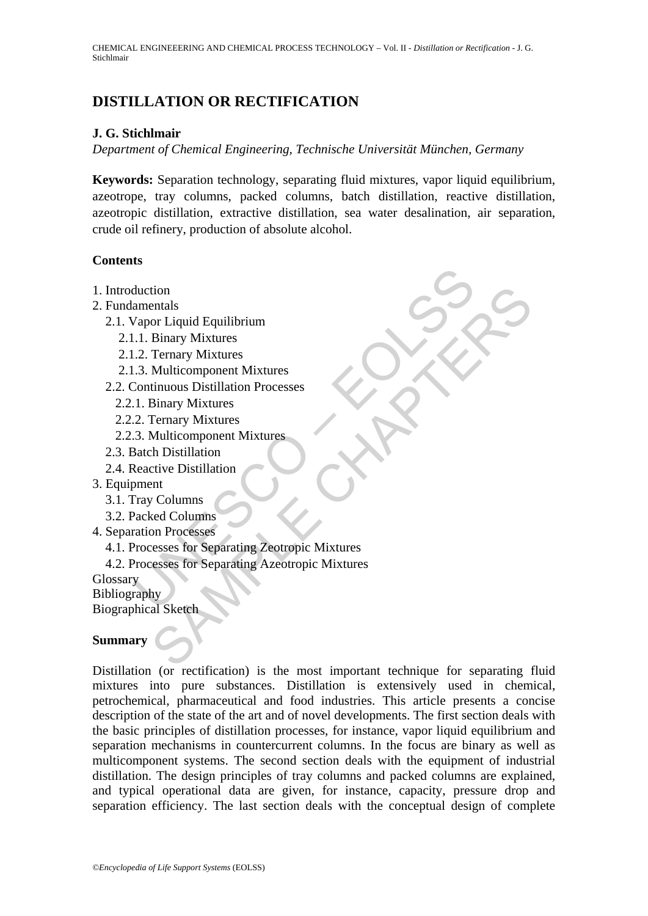# **DISTILLATION OR RECTIFICATION**

## **J. G. Stichlmair**

*Department of Chemical Engineering, Technische Universität München, Germany* 

**Keywords:** Separation technology, separating fluid mixtures, vapor liquid equilibrium, azeotrope, tray columns, packed columns, batch distillation, reactive distillation, azeotropic distillation, extractive distillation, sea water desalination, air separation, crude oil refinery, production of absolute alcohol.

### **Contents**

- 1. Introduction
- 2. Fundamentals
	- 2.1. Vapor Liquid Equilibrium
		- 2.1.1. Binary Mixtures
		- 2.1.2. Ternary Mixtures
		- 2.1.3. Multicomponent Mixtures
	- 2.2. Continuous Distillation Processes
		- 2.2.1. Binary Mixtures
		- 2.2.2. Ternary Mixtures
		- 2.2.3. Multicomponent Mixtures
	- 2.3. Batch Distillation
	- 2.4. Reactive Distillation
- 3. Equipment
	- 3.1. Tray Columns
	- 3.2. Packed Columns
- 4. Separation Processes
	- 4.1. Processes for Separating Zeotropic Mixtures
- duction<br>
amentals<br>
Vapor Liquid Equilibrium<br>
.1. Binary Mixtures<br>
.3. Ternary Mixtures<br>
.3. Multicomponent Mixtures<br>
.2. Ternary Mixtures<br>
.1. Binary Mixtures<br>
.2. Ternary Mixtures<br>
.2. Ternary Mixtures<br>
.3. Multicomponent tional<br>
enclusion Containers<br>
or Liquid Equilibrium<br>
Binary Mixtures<br>
Ternary Mixtures<br>
Multicomponent Mixtures<br>
Entary Mixtures<br>
Entary Mixtures<br>
Entary Mixtures<br>
And Columns<br>
And Columns<br>
end Columns<br>
ent<br>
columns<br>
ent<br> 4.2. Processes for Separating Azeotropic Mixtures

**Glossary** 

Bibliography Biographical Sketch

### **Summary**

Distillation (or rectification) is the most important technique for separating fluid mixtures into pure substances. Distillation is extensively used in chemical, petrochemical, pharmaceutical and food industries. This article presents a concise description of the state of the art and of novel developments. The first section deals with the basic principles of distillation processes, for instance, vapor liquid equilibrium and separation mechanisms in countercurrent columns. In the focus are binary as well as multicomponent systems. The second section deals with the equipment of industrial distillation. The design principles of tray columns and packed columns are explained, and typical operational data are given, for instance, capacity, pressure drop and separation efficiency. The last section deals with the conceptual design of complete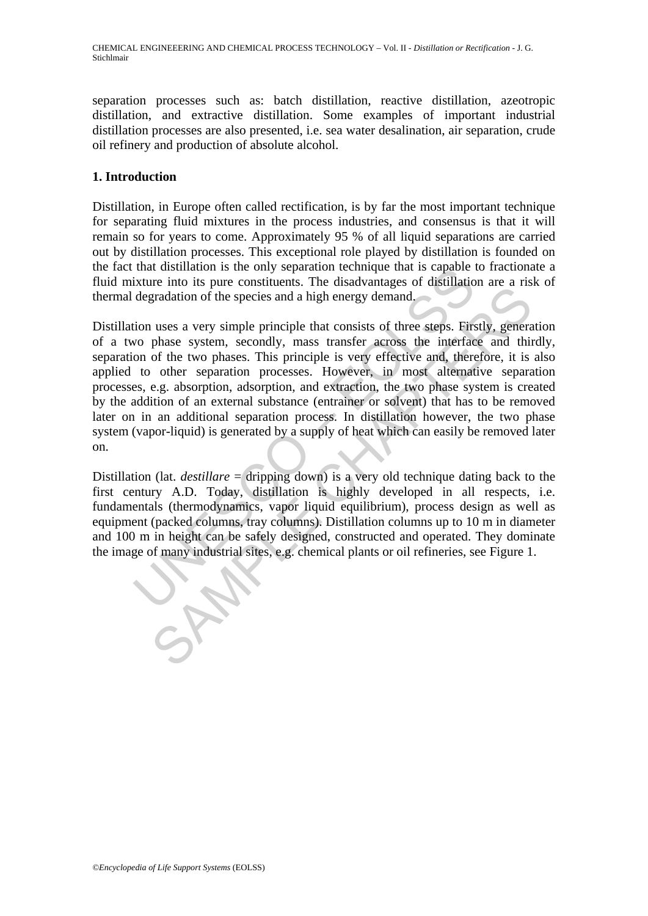separation processes such as: batch distillation, reactive distillation, azeotropic distillation, and extractive distillation. Some examples of important industrial distillation processes are also presented, i.e. sea water desalination, air separation, crude oil refinery and production of absolute alcohol.

#### **1. Introduction**

Distillation, in Europe often called rectification, is by far the most important technique for separating fluid mixtures in the process industries, and consensus is that it will remain so for years to come. Approximately 95 % of all liquid separations are carried out by distillation processes. This exceptional role played by distillation is founded on the fact that distillation is the only separation technique that is capable to fractionate a fluid mixture into its pure constituents. The disadvantages of distillation are a risk of thermal degradation of the species and a high energy demand.

that distinuish is the only separation lecturique that is capable in<br>tixture into its pure constituents. The disadvantages of distillatio<br>degradation of the species and a high energy demand.<br>tion uses a very simple princip Fractain of the species and a high energy demand.<br>
The distance in the species and a high energy demand.<br>
The species and a high energy demand.<br>
The species system, secondly, mass transfer across the interface and thin<br>
of Distillation uses a very simple principle that consists of three steps. Firstly, generation of a two phase system, secondly, mass transfer across the interface and thirdly, separation of the two phases. This principle is very effective and, therefore, it is also applied to other separation processes. However, in most alternative separation processes, e.g. absorption, adsorption, and extraction, the two phase system is created by the addition of an external substance (entrainer or solvent) that has to be removed later on in an additional separation process. In distillation however, the two phase system (vapor-liquid) is generated by a supply of heat which can easily be removed later on.

Distillation (lat. *destillare* = dripping down) is a very old technique dating back to the first century A.D. Today, distillation is highly developed in all respects, i.e. fundamentals (thermodynamics, vapor liquid equilibrium), process design as well as equipment (packed columns, tray columns). Distillation columns up to 10 m in diameter and 100 m in height can be safely designed, constructed and operated. They dominate the image of many industrial sites, e.g. chemical plants or oil refineries, see Figure 1.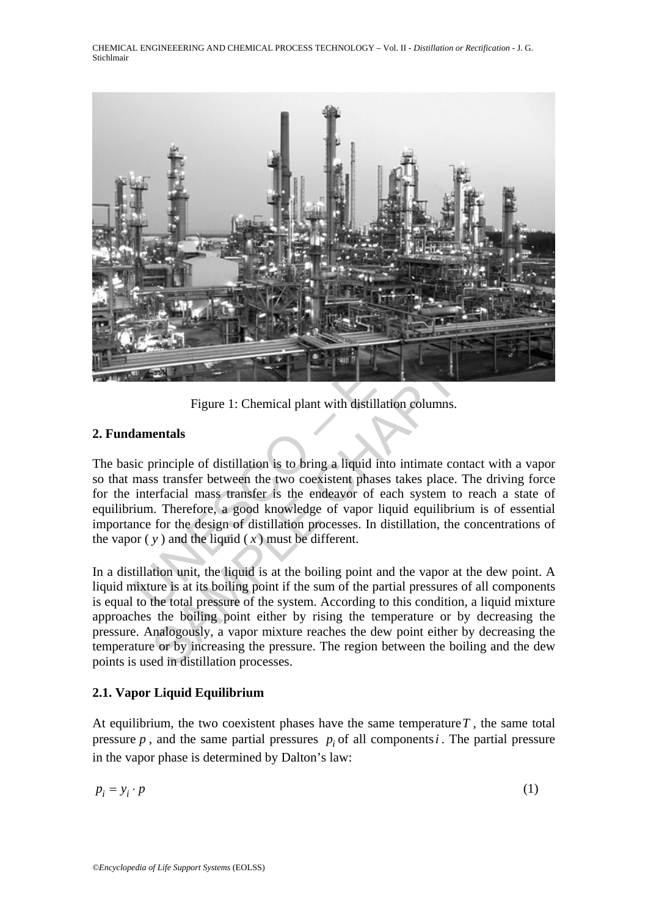CHEMICAL ENGINEEERING AND CHEMICAL PROCESS TECHNOLOGY – Vol. II - *Distillation or Rectification* - J. G. Stichlmair



Figure 1: Chemical plant with distillation columns.

#### **2. Fundamentals**

The basic principle of distillation is to bring a liquid into intimate contact with a vapor so that mass transfer between the two coexistent phases takes place. The driving force for the interfacial mass transfer is the endeavor of each system to reach a state of equilibrium. Therefore, a good knowledge of vapor liquid equilibrium is of essential importance for the design of distillation processes. In distillation, the concentrations of the vapor  $(y)$  and the liquid  $(x)$  must be different.

In a distillation unit, the liquid is at the boiling point and the vapor at the dew point. A liquid mixture is at its boiling point if the sum of the partial pressures of all components is equal to the total pressure of the system. According to this condition, a liquid mixture approaches the boiling point either by rising the temperature or by decreasing the pressure. Analogously, a vapor mixture reaches the dew point either by decreasing the temperature or by increasing the pressure. The region between the boiling and the dew points is used in distillation processes.

### **2.1. Vapor Liquid Equilibrium**

At equilibrium, the two coexistent phases have the same temperature  $T$ , the same total pressure  $p$ , and the same partial pressures  $p_i$  of all components *i*. The partial pressure in the vapor phase is determined by Dalton's law:

$$
p_i = y_i \cdot p \tag{1}
$$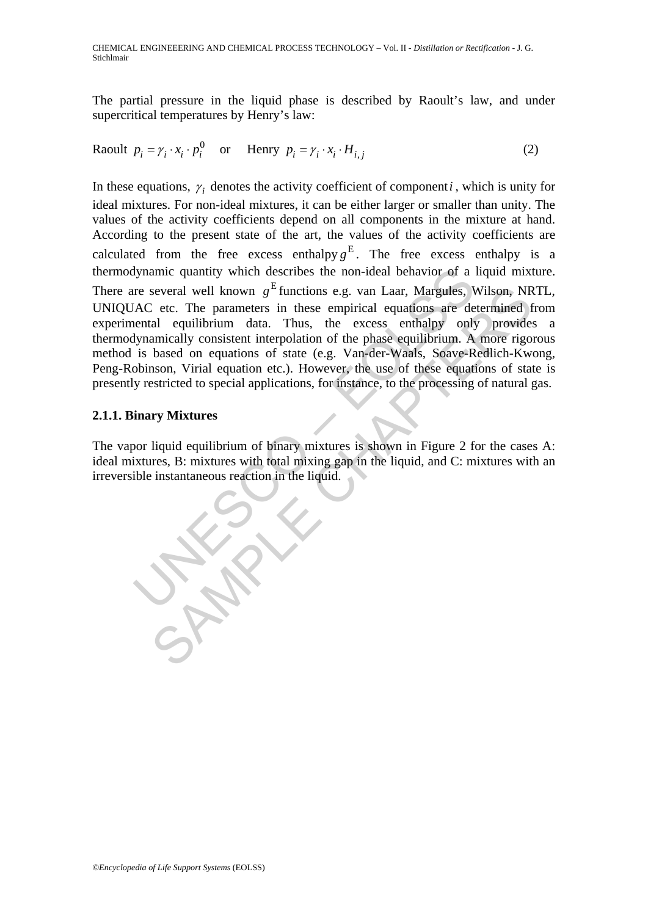The partial pressure in the liquid phase is described by Raoult's law, and under supercritical temperatures by Henry's law:

$$
\text{Raoult } p_i = \gamma_i \cdot x_i \cdot p_i^0 \quad \text{or} \quad \text{Henry } p_i = \gamma_i \cdot x_i \cdot H_{i,j} \tag{2}
$$

Mynamic quantity which describes the non-ideal behavior of a<br>re several well known  $g^E$  functions e.g. van Laar, Margules, V<br>AC etc. The parameters in these empirical equations are de-<br>entail equilibrium data. Thus, the several well known  $g^E$  functions e.g. van Laar, Margules, Wilson, NR<br>
2 etc. The parameters in these empirical equations are determined f<br>
al equilibrium data. Thus, the excess emhalpy only provide<br>
annically consistent In these equations,  $\gamma_i$  denotes the activity coefficient of component *i*, which is unity for ideal mixtures. For non-ideal mixtures, it can be either larger or smaller than unity. The values of the activity coefficients depend on all components in the mixture at hand. According to the present state of the art, the values of the activity coefficients are calculated from the free excess enthalpy  $g<sup>E</sup>$ . The free excess enthalpy is a thermodynamic quantity which describes the non-ideal behavior of a liquid mixture. There are several well known  $g<sup>E</sup>$  functions e.g. van Laar, Margules, Wilson, NRTL, UNIQUAC etc. The parameters in these empirical equations are determined from experimental equilibrium data. Thus, the excess enthalpy only provides a thermodynamically consistent interpolation of the phase equilibrium. A more rigorous method is based on equations of state (e.g. Van-der-Waals, Soave-Redlich-Kwong, Peng-Robinson, Virial equation etc.). However, the use of these equations of state is presently restricted to special applications, for instance, to the processing of natural gas.

## **2.1.1. Binary Mixtures**

The vapor liquid equilibrium of binary mixtures is shown in Figure 2 for the cases A: ideal mixtures, B: mixtures with total mixing gap in the liquid, and C: mixtures with an irreversible instantaneous reaction in the liquid.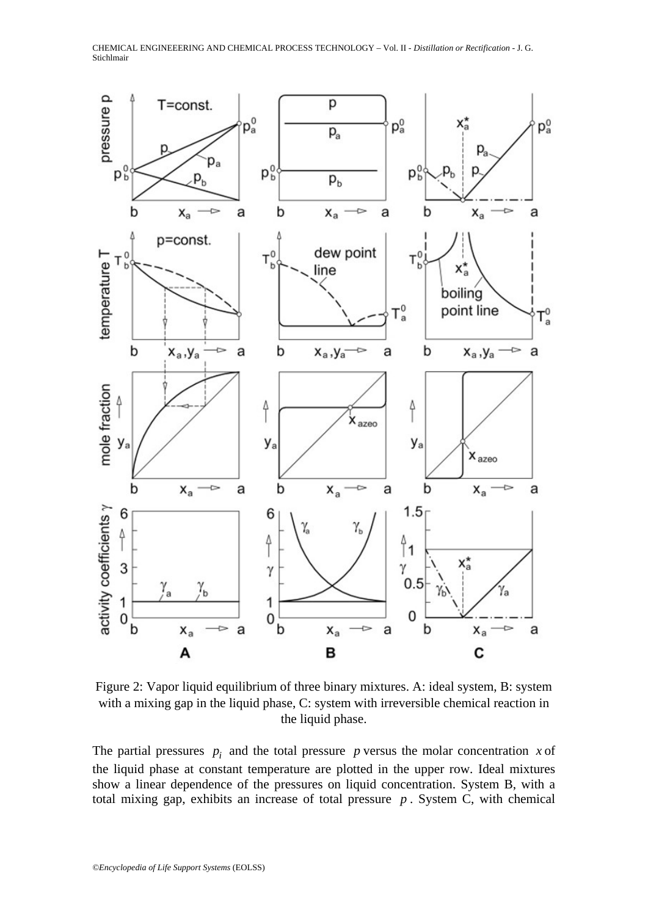CHEMICAL ENGINEEERING AND CHEMICAL PROCESS TECHNOLOGY – Vol. II - *Distillation or Rectification* - J. G. Stichlmair



Figure 2: Vapor liquid equilibrium of three binary mixtures. A: ideal system, B: system with a mixing gap in the liquid phase, C: system with irreversible chemical reaction in the liquid phase.

The partial pressures  $p_i$  and the total pressure p versus the molar concentration x of the liquid phase at constant temperature are plotted in the upper row. Ideal mixtures show a linear dependence of the pressures on liquid concentration. System B, with a total mixing gap, exhibits an increase of total pressure *p* . System C, with chemical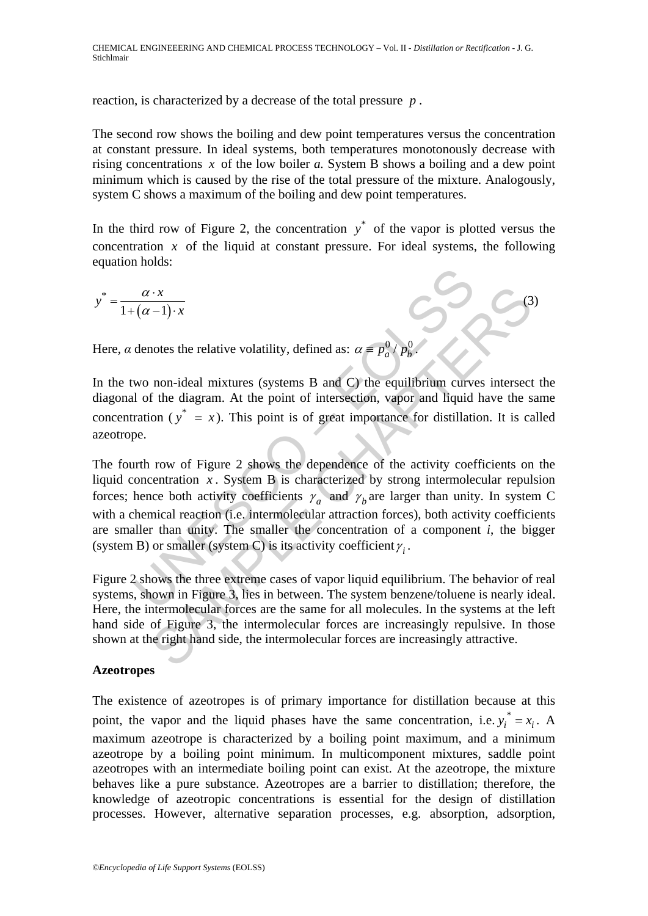reaction, is characterized by a decrease of the total pressure *p* .

The second row shows the boiling and dew point temperatures versus the concentration at constant pressure. In ideal systems, both temperatures monotonously decrease with rising concentrations *x* of the low boiler *a.* System B shows a boiling and a dew point minimum which is caused by the rise of the total pressure of the mixture. Analogously, system C shows a maximum of the boiling and dew point temperatures.

In the third row of Figure 2, the concentration  $y^*$  of the vapor is plotted versus the concentration  $\bar{x}$  of the liquid at constant pressure. For ideal systems, the following equation holds:

 $\sim$  (3)

$$
y^* = \frac{\alpha \cdot x}{1 + (\alpha - 1) \cdot x}
$$

Here,  $\alpha$  denotes the relative volatility, defined as:  $\alpha \equiv p_a^0$ 

In the two non-ideal mixtures (systems B and C) the equilibrium curves intersect the diagonal of the diagram. At the point of intersection, vapor and liquid have the same concentration ( $y^* = x$ ). This point is of great importance for distillation. It is called azeotrope.

 $\frac{\alpha \cdot x}{(\alpha - 1) \cdot x}$ <br>denotes the relative volatility, defined as:  $\alpha \equiv p_a^0 / p_b^0$ .<br>wo non-ideal mixtures (systems B and C) the equilibrium curve<br>of the diagram. At the point of intersection, vapor and liquid<br>ration ( $y^* =$  $\frac{S}{\sqrt{1-x}}$ <br>
The relative volatility, defined as:  $\alpha = p_a^0 / p_b^0$ ,<br>
non-ideal mixtures (systems B and C) the equilibrium curves intersect<br>
f the diagram. At the point of intersection, vapor and liquid have the son ( $y^* =$ The fourth row of Figure 2 shows the dependence of the activity coefficients on the liquid concentration  $x$ . System B is characterized by strong intermolecular repulsion forces; hence both activity coefficients  $\gamma_a$  and  $\gamma_b$  are larger than unity. In system C with a chemical reaction (i.e. intermolecular attraction forces), both activity coefficients are smaller than unity. The smaller the concentration of a component *i*, the bigger (system B) or smaller (system C) is its activity coefficient  $\gamma_i$ .

Figure 2 shows the three extreme cases of vapor liquid equilibrium. The behavior of real systems, shown in Figure 3, lies in between. The system benzene/toluene is nearly ideal. Here, the intermolecular forces are the same for all molecules. In the systems at the left hand side of Figure 3, the intermolecular forces are increasingly repulsive. In those shown at the right hand side, the intermolecular forces are increasingly attractive.

#### **Azeotropes**

The existence of azeotropes is of primary importance for distillation because at this point, the vapor and the liquid phases have the same concentration, i.e.  $y_i^* = x_i$ . A maximum azeotrope is characterized by a boiling point maximum, and a minimum azeotrope by a boiling point minimum. In multicomponent mixtures, saddle point azeotropes with an intermediate boiling point can exist. At the azeotrope, the mixture behaves like a pure substance. Azeotropes are a barrier to distillation; therefore, the knowledge of azeotropic concentrations is essential for the design of distillation processes. However, alternative separation processes, e.g. absorption, adsorption,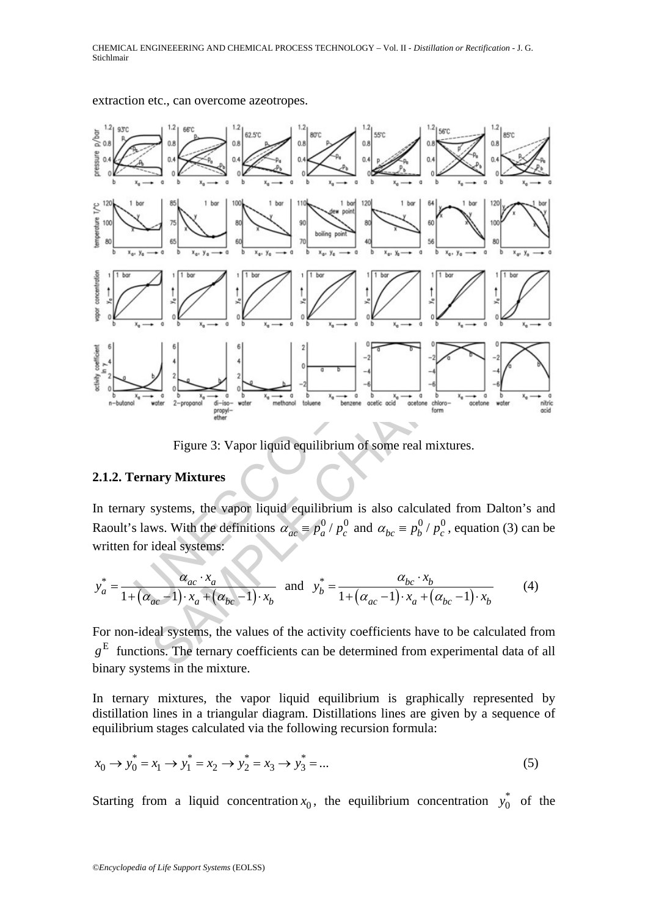

extraction etc., can overcome azeotropes.

Figure 3: Vapor liquid equilibrium of some real mixtures.

#### **2.1.2. Ternary Mixtures**

In ternary systems, the vapor liquid equilibrium is also calculated from Dalton's and Raoult's laws. With the definitions  $\alpha_{ac} = p_a^0 / p_c^0$  and  $\alpha_{bc} = p_b^0 / p_c^0$ , equation (3) can be written for ideal systems:

$$
y_a^* = \frac{\alpha_{ac} \cdot x_a}{1 + (\alpha_{ac} - 1) \cdot x_a + (\alpha_{bc} - 1) \cdot x_b} \text{ and } y_b^* = \frac{\alpha_{bc} \cdot x_b}{1 + (\alpha_{ac} - 1) \cdot x_a + (\alpha_{bc} - 1) \cdot x_b}
$$
(4)

For non-ideal systems, the values of the activity coefficients have to be calculated from E *g* functions. The ternary coefficients can be determined from experimental data of all binary systems in the mixture.

In ternary mixtures, the vapor liquid equilibrium is graphically represented by distillation lines in a triangular diagram. Distillations lines are given by a sequence of equilibrium stages calculated via the following recursion formula:

$$
x_0 \to y_0^* = x_1 \to y_1^* = x_2 \to y_2^* = x_3 \to y_3^* = \dots
$$
 (5)

Starting from a liquid concentration  $x_0$ , the equilibrium concentration  $y_0^*$  of the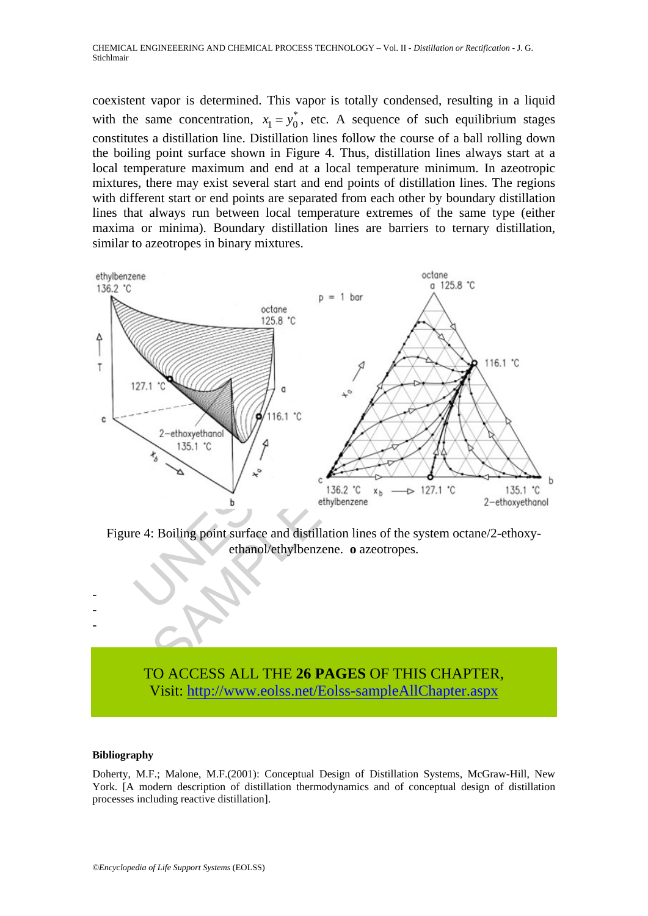coexistent vapor is determined. This vapor is totally condensed, resulting in a liquid with the same concentration,  $x_1 = y_0^*$ , etc. A sequence of such equilibrium stages constitutes a distillation line. Distillation lines follow the course of a ball rolling down the boiling point surface shown in Figure 4. Thus, distillation lines always start at a local temperature maximum and end at a local temperature minimum. In azeotropic mixtures, there may exist several start and end points of distillation lines. The regions with different start or end points are separated from each other by boundary distillation lines that always run between local temperature extremes of the same type (either maxima or minima). Boundary distillation lines are barriers to ternary distillation, similar to azeotropes in binary mixtures.



Figure 4: Boiling point surface and distillation lines of the system octane/2-ethoxyethanol/ethylbenzene. **o** azeotropes.

## TO ACCESS ALL THE **26 PAGES** OF THIS CHAPTER, Vi[sit: http://www.eolss.net/Eolss-sampleAllChapter.aspx](https://www.eolss.net/ebooklib/sc_cart.aspx?File=E6-34-02-04)

#### **Bibliography**

- - -

Doherty, M.F.; Malone, M.F.(2001): Conceptual Design of Distillation Systems, McGraw-Hill, New York. [A modern description of distillation thermodynamics and of conceptual design of distillation processes including reactive distillation].